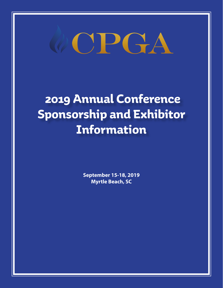# CPGA

## **2019 Annual Conference Sponsorship and Exhibitor Information**

**September 15-18, 2019 Myrtle Beach, SC**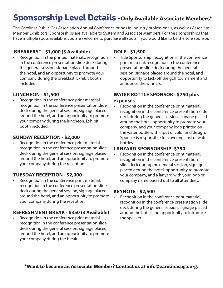## **Sponsorship Level Details -Only Available Associate Members\***

The Carolinas Public Gas Association Annual Conference brings in industry professionals, as well as Associate Member Exhibitors. Sponsorships are available to System and Associate Members. For the sponsorships that have multiple spots available, you are welcome to purchase all spots if you would like to be the sole sponsor.

## **BREAKFAST - \$1,000 (3 Available)**

• Recognition in the printed materials, recognition in the conference presentation slide deck during the general session, signage placed around the hotel, and an opportunity to promote your company during the breakfast. Exhibit booth included

## **LUNCHEON - \$1,500**

Recognition in the conference print material, recognition in the conference presentation slide deck during the general session, signage placed around the hotel, and an opportunity to promote your company during the luncheon. Exhibit booth included.

## **SUNDAY RECEPTION - \$2,000**

Recognition in the conference print material, recognition in the conference presentation slide deck during the general session, signage placed around the hotel, and an opportunity to promote your company during the reception.

## **TUESDAY RECEPTION - \$2,000**

Recognition in the conference print material, recognition in the conference presentation slide deck during the general session, signage placed around the hotel, and an opportunity to promote your company during the reception.

## **REFRESHMENT BREAK - \$350 (3 Available)**

Recognition in the conference print material, recognition in the conference presentation slide deck during the general session, signage placed around the hotel, and an opportunity to promote your company during the break.

## **GOLF - \$1,500**

• Title Sponsorship, recognition in the conference print material, recognition in the conference presentation slide deck during the general session, signage placed around the hotel, and opportunity to kick-off the golf tournament and announce the winners.

## **WATER BOTTLE SPONSOR - \$750 plus**

#### **expenses**

Recognition in the conference print material, recognition in the conference presentation slide deck during the general session, signage placed around the hotel, opportunity to promote your company, and your company logo printed on the water bottle with input of color and design. Sponsor is responsible for covering cost of water bottles.

## **LANYARD SPONSORSHIP- \$750**

Recognition in the conference print material, recognition in the conference presentation slide deck during the general session, signage placed around the hotel, opportunity to promote your company, and a lanyard with your logo or company name passed out to all attendees.

### **KEYNOTE - \$2,500**

• Recognition in the conference print material, recognition in the conference presentation slide deck during the general session, signage placed around the hotel, and opportunity to introduce the speaker.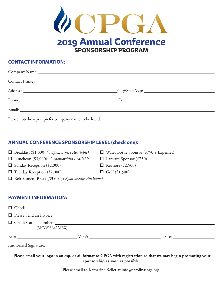

### **CONTACT INFORMATION:**

| Please note how you prefer company name to be listed: |  |
|-------------------------------------------------------|--|
|                                                       |  |

## **ANNUAL CONFERENCE SPONSORSHIP LEVEL (check one):**

- o Breakfast (\$1,000) *(3 Sponsorships Available)* o Water Bottle Sponsor (\$750 + Expenses)
	- o Luncheon (\$3,000) *(1 Sponsorships Available)* o Lanyard Sponsor (\$750)
	- $\Box$  Sunday Reception (\$2,000)  $\Box$  Keynote (\$2,500)

 $\overline{a}$ 

- $\square$  Tuesday Reception (\$2,000)  $\square$  Golf (\$1,500)
- o Refreshment Break (\$350) *(3 Sponsorships Available)*

### **PAYMENT INFORMATION:**

| $\Box$ Check                  |  |                                                                                                                                                                                                                                                                                                                                                                                                               |  |
|-------------------------------|--|---------------------------------------------------------------------------------------------------------------------------------------------------------------------------------------------------------------------------------------------------------------------------------------------------------------------------------------------------------------------------------------------------------------|--|
| $\Box$ Please Send an Invoice |  |                                                                                                                                                                                                                                                                                                                                                                                                               |  |
| (MC/VISA/AMEX)                |  |                                                                                                                                                                                                                                                                                                                                                                                                               |  |
|                               |  | Date: $\frac{1}{\sqrt{1-\frac{1}{2}}\sqrt{1-\frac{1}{2}}\sqrt{1-\frac{1}{2}}\sqrt{1-\frac{1}{2}}\sqrt{1-\frac{1}{2}}\sqrt{1-\frac{1}{2}}\sqrt{1-\frac{1}{2}}\sqrt{1-\frac{1}{2}}\sqrt{1-\frac{1}{2}}\sqrt{1-\frac{1}{2}}\sqrt{1-\frac{1}{2}}\sqrt{1-\frac{1}{2}}\sqrt{1-\frac{1}{2}}\sqrt{1-\frac{1}{2}}\sqrt{1-\frac{1}{2}}\sqrt{1-\frac{1}{2}}\sqrt{1-\frac{1}{2}}\sqrt{1-\frac{1}{2}}\sqrt{1-\frac{1}{2}}$ |  |
|                               |  |                                                                                                                                                                                                                                                                                                                                                                                                               |  |

 **Please email your logo in an esp. or ai. format to CPGA with registration so that we may begin promoting your sponsorship as soon as possible.**

Please email to Katharine Keller at info@carolinaspga.org.